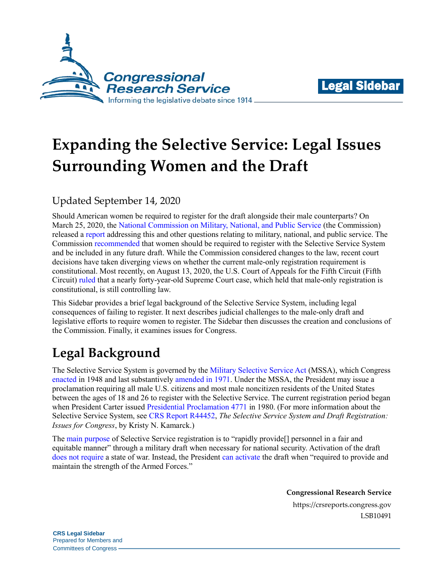



# **Expanding the Selective Service: Legal Issues Surrounding Women and the Draft**

### Updated September 14, 2020

Should American women be required to register for the draft alongside their male counterparts? On March 25, 2020, th[e National Commission on Military, National, and Public Service](https://inspire2serve.gov/) (the Commission) released a [report](https://inspire2serve.gov/sites/default/files/final-report/NCOS_2020_colorcorrected_FINAL_HR.pdf) addressing this and other questions relating to military, national, and public service. The Commission [recommended](https://inspire2serve.gov/sites/default/files/final-report/NCOS_2020_colorcorrected_FINAL_HR.pdf#page=111) that women should be required to register with the Selective Service System and be included in any future draft. While the Commission considered changes to the law, recent court decisions have taken diverging views on whether the current male-only registration requirement is constitutional. Most recently, on August 13, 2020, the U.S. Court of Appeals for the Fifth Circuit (Fifth Circuit) [ruled](http://www.ca5.uscourts.gov/opinions/pub/19/19-20272-CV0.pdf) that a nearly forty-year-old Supreme Court case, which held that male-only registration is constitutional, is still controlling law.

This Sidebar provides a brief legal background of the Selective Service System, including legal consequences of failing to register. It next describes judicial challenges to the male-only draft and legislative efforts to require women to register. The Sidebar then discusses the creation and conclusions of the Commission. Finally, it examines issues for Congress.

# **Legal Background**

The Selective Service System is governed by the [Military Selective Service Act](https://legcounsel.house.gov/Comps/Military%20Selective%20Service%20Act.pdf) (MSSA), which Congress [enacted](http://www.loc.gov/law/help/statutes-at-large/80th-congress/session-2/c80s2ch625.pdf) in 1948 and last substantively [amended in 1971.](https://www.govinfo.gov/content/pkg/STATUTE-85/pdf/STATUTE-85-Pg348.pdf) Under the MSSA, the President may issue a proclamation requiring all male U.S. citizens and most male noncitizen residents of the United States between the ages of 18 and 26 to register with the Selective Service. The current registration period began when President Carter issued [Presidential Proclamation 4771](https://www.govinfo.gov/content/pkg/STATUTE-94/pdf/STATUTE-94-Pg3775.pdf) in 1980. (For more information about the Selective Service System, see [CRS Report R44452,](https://crsreports.congress.gov/product/pdf/download/R/R44452/R44452.pdf/) *[The Selective Service System and Draft Registration:](https://crsreports.congress.gov/product/pdf/R/R44452)  [Issues for Congress](https://crsreports.congress.gov/product/pdf/R/R44452)*, by Kristy N. Kamarck.)

The [main purpose](https://www.sss.gov/about/) of Selective Service registration is to "rapidly provide[] personnel in a fair and equitable manner" through a military draft when necessary for national security. Activation of the draft [does not require](https://uscode.house.gov/view.xhtml?hl=false&edition=prelim&req=granuleid%3AUSC-prelim-title50-section3803&num=0&saved=|Z3JhbnVsZWlkOlVTQy1wcmVsaW0tdGl0bGU1MC1zZWN0aW9uMzgwMw%3D%3D|||0|false|prelim) a state of war. Instead, the President [can activate](https://uscode.house.gov/view.xhtml?hl=false&edition=prelim&req=granuleid%3AUSC-prelim-title50-section3803&num=0&saved=|Z3JhbnVsZWlkOlVTQy1wcmVsaW0tdGl0bGU1MC1zZWN0aW9uMzgwMw%3D%3D|||0|false|prelim) the draft when "required to provide and maintain the strength of the Armed Forces."

> **Congressional Research Service** https://crsreports.congress.gov LSB10491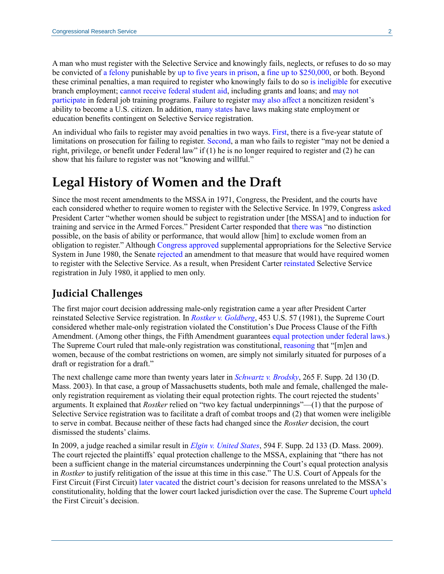A man who must register with the Selective Service and knowingly fails, neglects, or refuses to do so may be convicted of [a felony](https://uscode.house.gov/view.xhtml?req=granuleid:USC-prelim-title18-section3559&num=0&edition=prelim) punishable by [up to five years in prison,](https://uscode.house.gov/view.xhtml?req=granuleid:USC-prelim-title50-section3811&num=0&edition=prelim) a [fine up to \\$250,000,](https://uscode.house.gov/view.xhtml?req=granuleid:USC-prelim-title18-section3571&num=0&edition=prelim) or both. Beyond these criminal penalties, a man required to register who knowingly fails to do so [is ineligible](https://uscode.house.gov/view.xhtml?req=(title:5%20section:3328%20edition:prelim)%20OR%20(granuleid:USC-prelim-title5-section3328)&f=treesort&edition=prelim&num=0&jumpTo=true) for executive branch employment; [cannot receive federal student aid,](https://uscode.house.gov/view.xhtml?req=granuleid:USC-prelim-title50-section3811&num=0&edition=prelim) including grants and loans; and [may not](https://uscode.house.gov/view.xhtml?req=(title:29%20section:3249%20edition:prelim)%20OR%20(granuleid:USC-prelim-title29-section3249)&f=treesort&edition=prelim&num=0&jumpTo=true)  [participate](https://uscode.house.gov/view.xhtml?req=(title:29%20section:3249%20edition:prelim)%20OR%20(granuleid:USC-prelim-title29-section3249)&f=treesort&edition=prelim&num=0&jumpTo=true) in federal job training programs. Failure to register [may also affect](https://www.uscis.gov/policy-manual/volume-12-part-d-chapter-7) a noncitizen resident's ability to become a U.S. citizen. In addition, [many states](https://www.sss.gov/registration/state-commonwealth-legislation/) have laws making state employment or education benefits contingent on Selective Service registration.

An individual who fails to register may avoid penalties in two ways. [First,](https://uscode.house.gov/view.xhtml?req=granuleid:USC-prelim-title50-section3811&num=0&edition=prelim) there is a five-year statute of limitations on prosecution for failing to register. [Second,](https://uscode.house.gov/view.xhtml?req=granuleid:USC-prelim-title50-section3811&num=0&edition=prelim) a man who fails to register "may not be denied a right, privilege, or benefit under Federal law" if (1) he is no longer required to register and (2) he can show that his failure to register was not "knowing and willful."

## **Legal History of Women and the Draft**

Since the most recent amendments to the MSSA in 1971, Congress, the President, and the courts have each considered whether to require women to register with the Selective Service. In 1979, Congress [asked](https://www.govinfo.gov/content/pkg/STATUTE-93/pdf/STATUTE-93-Pg803.pdf#page=14) President Carter "whether women should be subject to registration under [the MSSA] and to induction for training and service in the Armed Forces." President Carter responded that [there was](https://hdl.handle.net/2027/osu.32435021426515?urlappend=%3Bseq=23) "no distinction possible, on the basis of ability or performance, that would allow [him] to exclude women from an obligation to register." Although [Congress approved](https://www.govinfo.gov/content/pkg/STATUTE-94/pdf/STATUTE-94-Pg552.pdf) supplemental appropriations for the Selective Service System in June 1980, the Senate [rejected](https://www.govinfo.gov/content/pkg/GPO-CRECB-1980-pt11/pdf/GPO-CRECB-1980-pt11-4-2.pdf#page=45) an amendment to that measure that would have required women to register with the Selective Service. As a result, when President Carter [reinstated](https://www.govinfo.gov/content/pkg/STATUTE-94/pdf/STATUTE-94-Pg3775.pdf) Selective Service registration in July 1980, it applied to men only.

#### **Judicial Challenges**

The first major court decision addressing male-only registration came a year after President Carter reinstated Selective Service registration. In *[Rostker v. Goldberg](https://tile.loc.gov/storage-services/service/ll/usrep/usrep453/usrep453057/usrep453057.pdf)*, 453 U.S. 57 (1981), the Supreme Court considered whether male-only registration violated the Constitution's Due Process Clause of the Fifth Amendment. (Among other things, the Fifth Amendment guarantee[s equal protection under federal](https://constitution.congress.gov/browse/essay/amdt5_4_5_2_6/) laws.) The Supreme Court ruled that male-only registration was constitutional, [reasoning](https://tile.loc.gov/storage-services/service/ll/usrep/usrep453/usrep453057/usrep453057.pdf#page=22) that "[m]en and women, because of the combat restrictions on women, are simply not similarly situated for purposes of a draft or registration for a draft."

The next challenge came more than twenty years later in *[Schwartz v. Brodsky](https://scholar.google.com/scholar_case?case=7219374188330424661&hl=en&as_sdt=6&as_vis=1&oi=scholarr)*, 265 F. Supp. 2d 130 (D. Mass. 2003). In that case, a group of Massachusetts students, both male and female, challenged the maleonly registration requirement as violating their equal protection rights. The court rejected the students' arguments. It explained that *Rostker* relied on "two key factual underpinnings"—(1) that the purpose of Selective Service registration was to facilitate a draft of combat troops and (2) that women were ineligible to serve in combat. Because neither of these facts had changed since the *Rostker* decision, the court dismissed the students' claims.

In 2009, a judge reached a similar result in *[Elgin v. United States](https://www.leagle.com/decision/2009727594wfsupp2d1331705)*, 594 F. Supp. 2d 133 (D. Mass. 2009). The court rejected the plaintiffs' equal protection challenge to the MSSA, explaining that "there has not been a sufficient change in the material circumstances underpinning the Court's equal protection analysis in *Rostker* to justify relitigation of the issue at this time in this case." The U.S. Court of Appeals for the First Circuit (First Circuit) [later vacated](https://caselaw.findlaw.com/us-1st-circuit/1563055.html) the district court's decision for reasons unrelated to the MSSA's constitutionality, holding that the lower court lacked jurisdiction over the case. The Supreme Court [upheld](https://casetext.com/case/elgin-v-dept-of-treasury) the First Circuit's decision.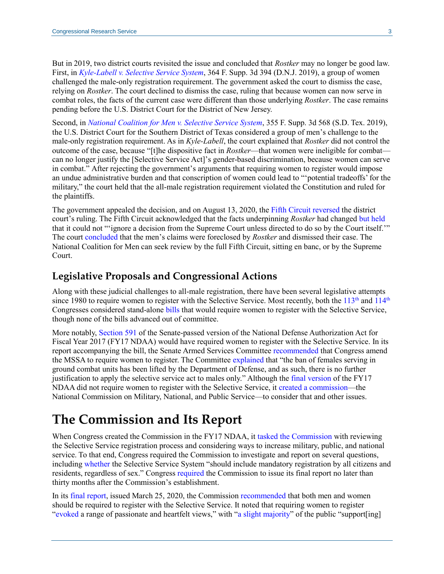But in 2019, two district courts revisited the issue and concluded that *Rostker* may no longer be good law. First, in *[Kyle-Labell v. Selective Service](https://law.justia.com/cases/federal/district-courts/new-jersey/njdce/2:2015cv05193/321749/89/) System*, 364 F. Supp. 3d 394 (D.N.J. 2019), a group of women challenged the male-only registration requirement. The government asked the court to dismiss the case, relying on *Rostker*. The court declined to dismiss the case, ruling that because women can now serve in combat roles, the facts of the current case were different than those underlying *Rostker*. The case remains pending before the U.S. District Court for the District of New Jersey.

Second, in *[National Coalition for Men v. Selective Service System](https://law.justia.com/cases/federal/district-courts/texas/txsdce/4:2016cv03362/1396506/87/)*, 355 F. Supp. 3d 568 (S.D. Tex. 2019), the U.S. District Court for the Southern District of Texas considered a group of men's challenge to the male-only registration requirement. As in *Kyle-Labell*, the court explained that *Rostker* did not control the outcome of the case, because "[t]he dispositive fact in *Rostker*—that women were ineligible for combat can no longer justify the [Selective Service Act]'s gender-based discrimination, because women can serve in combat." After rejecting the government's arguments that requiring women to register would impose an undue administrative burden and that conscription of women could lead to "'potential tradeoffs' for the military," the court held that the all-male registration requirement violated the Constitution and ruled for the plaintiffs.

The government appealed the decision, and on August 13, 2020, the [Fifth Circuit](http://www.ca5.uscourts.gov/opinions/pub/19/19-20272-CV0.pdf) reversed the district court's ruling. The Fifth Circuit acknowledged that the facts underpinning *Rostker* had changed [but held](http://www.ca5.uscourts.gov/opinions/pub/19/19-20272-CV0.pdf#page=5) that it could not "'ignore a decision from the Supreme Court unless directed to do so by the Court itself.'" The court [concluded](http://www.ca5.uscourts.gov/opinions/pub/19/19-20272-CV0.pdf#page=6) that the men's claims were foreclosed by *Rostker* and dismissed their case. The National Coalition for Men can seek review by the full Fifth Circuit, sitting en banc, or by the Supreme Court.

#### **Legislative Proposals and Congressional Actions**

Along with these judicial challenges to all-male registration, there have been several legislative attempts since 1980 to require women to register with the Selective Service. Most recently, both the  $113<sup>th</sup>$  and  $114<sup>th</sup>$ Congresses considered stand-alone [bills](https://www.congress.gov/bill/114th-congress/house-bill/4478) that would require women to register with the Selective Service, though none of the bills advanced out of committee.

More notably, [Section 591](https://www.congress.gov/bill/114th-congress/senate-bill/2943/text/es?q=%7B%22search%22%3A%22%5C%22national+defense+authorization+act%5C%22%22%7D&r=50#H7EF2AEF1D1AB451F9AE24A8429D2529F) of the Senate-passed version of the National Defense Authorization Act for Fiscal Year 2017 (FY17 NDAA) would have required women to register with the Selective Service. In its report accompanying the bill, the Senate Armed Services Committee [recommended](https://www.congress.gov/114/crpt/srpt255/CRPT-114srpt255.pdf#page=186) that Congress amend the MSSA to require women to register. The Committee [explained](https://www.congress.gov/114/crpt/srpt255/CRPT-114srpt255.pdf#page=187) that "the ban of females serving in ground combat units has been lifted by the Department of Defense, and as such, there is no further justification to apply the selective service act to males only." Although the [final version](https://www.congress.gov/114/plaws/publ328/PLAW-114publ328.pdf) of the FY17 NDAA did not require women to register with the Selective Service, it created a [commission—](https://www.congress.gov/114/plaws/publ328/PLAW-114publ328.pdf#page=2130)the National Commission on Military, National, and Public Service—to consider that and other issues.

# **The Commission and Its Report**

When Congress created the Commission in the FY17 NDAA, it tasked [the Commission](https://www.congress.gov/114/plaws/publ328/PLAW-114publ328.pdf#page=2130) with reviewing the Selective Service registration process and considering ways to increase military, public, and national service. To that end, Congress required the Commission to investigate and report on several questions, including [whether](https://www.congress.gov/114/plaws/publ328/PLAW-114publ328.pdf#page=2135) the Selective Service System "should include mandatory registration by all citizens and residents, regardless of sex." Congres[s required](https://www.congress.gov/114/plaws/publ328/PLAW-114publ328.pdf#page=2136) the Commission to issue its final report no later than thirty months after the Commission's establishment.

In its [final report,](https://inspire2serve.gov/sites/default/files/final-report/NCOS_2020_colorcorrected_FINAL_HR.pdf) issued March 25, 2020, the Commission [recommended](https://inspire2serve.gov/sites/default/files/final-report/NCOS_2020_colorcorrected_FINAL_HR.pdf#page=111) that both men and women should be required to register with the Selective Service. It noted that requiring women to register ["evoked](https://inspire2serve.gov/sites/default/files/final-report/NCOS_2020_colorcorrected_FINAL_HR.pdf#page=111) a range of passionate and heartfelt views," with ["a slight majority"](https://inspire2serve.gov/sites/default/files/final-report/NCOS_2020_colorcorrected_FINAL_HR.pdf#page=119) of the public "support[ing]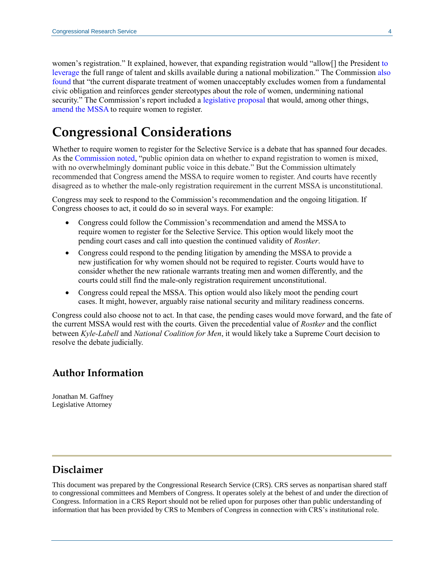women's registration." It explained, however, that expanding registration would "allow[] the President [to](https://inspire2serve.gov/sites/default/files/final-report/NCOS_2020_colorcorrected_FINAL_HR.pdf#page=115)  [leverage](https://inspire2serve.gov/sites/default/files/final-report/NCOS_2020_colorcorrected_FINAL_HR.pdf#page=115) the full range of talent and skills available during a national mobilization." The Commission [also](https://inspire2serve.gov/sites/default/files/final-report/NCOS_2020_colorcorrected_FINAL_HR.pdf#page=115)  [found](https://inspire2serve.gov/sites/default/files/final-report/NCOS_2020_colorcorrected_FINAL_HR.pdf#page=115) that "the current disparate treatment of women unacceptably excludes women from a fundamental civic obligation and reinforces gender stereotypes about the role of women, undermining national security." The Commission's report included a [legislative proposal](https://inspire2serve.gov/sites/default/files/final-report/Legislative%20Annex.pdf) that would, among other things, [amend the MSSA](https://inspire2serve.gov/sites/default/files/final-report/Legislative%20Annex.pdf#page=161) to require women to register.

# **Congressional Considerations**

Whether to require women to register for the Selective Service is a debate that has spanned four decades. As the [Commission noted,](https://inspire2serve.gov/sites/default/files/final-report/NCOS_2020_colorcorrected_FINAL_HR.pdf#page=120) "public opinion data on whether to expand registration to women is mixed, with no overwhelmingly dominant public voice in this debate." But the Commission ultimately recommended that Congress amend the MSSA to require women to register. And courts have recently disagreed as to whether the male-only registration requirement in the current MSSA is unconstitutional.

Congress may seek to respond to the Commission's recommendation and the ongoing litigation. If Congress chooses to act, it could do so in several ways. For example:

- Congress could follow the Commission's recommendation and amend the MSSA to require women to register for the Selective Service. This option would likely moot the pending court cases and call into question the continued validity of *Rostker*.
- Congress could respond to the pending litigation by amending the MSSA to provide a new justification for why women should not be required to register. Courts would have to consider whether the new rationale warrants treating men and women differently, and the courts could still find the male-only registration requirement unconstitutional.
- Congress could repeal the MSSA. This option would also likely moot the pending court cases. It might, however, arguably raise national security and military readiness concerns.

Congress could also choose not to act. In that case, the pending cases would move forward, and the fate of the current MSSA would rest with the courts. Given the precedential value of *Rostker* and the conflict between *Kyle-Labell* and *National Coalition for Men*, it would likely take a Supreme Court decision to resolve the debate judicially.

#### **Author Information**

Jonathan M. Gaffney Legislative Attorney

#### **Disclaimer**

This document was prepared by the Congressional Research Service (CRS). CRS serves as nonpartisan shared staff to congressional committees and Members of Congress. It operates solely at the behest of and under the direction of Congress. Information in a CRS Report should not be relied upon for purposes other than public understanding of information that has been provided by CRS to Members of Congress in connection with CRS's institutional role.